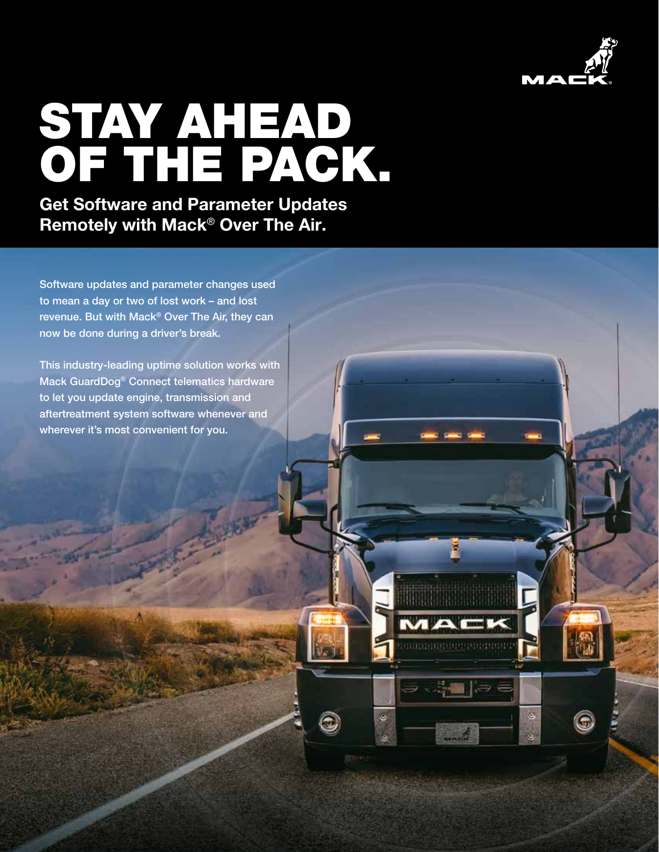

ø

 $\ddot{\circ}$ 

## STAY AHEAD OF THE PACK.

Get Software and Parameter Updates Remotely with Mack® Over The Air.

Software updates and parameter changes used to mean a day or two of lost work – and lost revenue. But with Mack® Over The Air, they can now be done during a driver's break.

This industry-leading uptime solution works with Mack GuardDog® Connect telematics hardware to let you update engine, transmission and aftertreatment system software whenever and wherever it's most convenient for you.